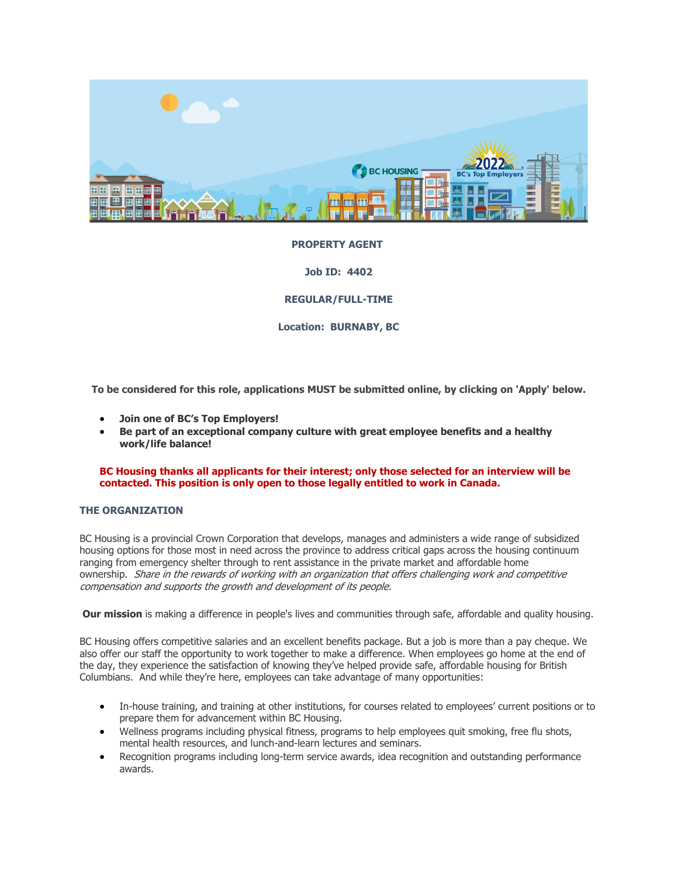

# **PROPERTY AGENT**

**Job ID: 4402**

**REGULAR/FULL-TIME**

**Location: BURNABY, BC**

**To be considered for this role, applications MUST be submitted online, by clicking on 'Apply' below.**

- **Join one of BC's Top Employers!**
- **Be part of an exceptional company culture with great employee benefits and a healthy work/life balance!**

### **BC Housing thanks all applicants for their interest; only those selected for an interview will be contacted. This position is only open to those legally entitled to work in Canada.**

### **THE ORGANIZATION**

BC Housing is a provincial Crown Corporation that develops, manages and administers a wide range of subsidized housing options for those most in need across the province to address critical gaps across the housing continuum ranging from emergency shelter through to rent assistance in the private market and affordable home ownership. Share in the rewards of working with an organization that offers challenging work and competitive compensation and supports the growth and development of its people.

**Our mission** is making a difference in people's lives and communities through safe, affordable and quality housing.

BC Housing offers competitive salaries and an excellent benefits package. But a job is more than a pay cheque. We also offer our staff the opportunity to work together to make a difference. When employees go home at the end of the day, they experience the satisfaction of knowing they've helped provide safe, affordable housing for British Columbians. And while they're here, employees can take advantage of many opportunities:

- In-house training, and training at other institutions, for courses related to employees' current positions or to prepare them for advancement within BC Housing.
- Wellness programs including physical fitness, programs to help employees quit smoking, free flu shots, mental health resources, and lunch-and-learn lectures and seminars.
- Recognition programs including long-term service awards, idea recognition and outstanding performance awards.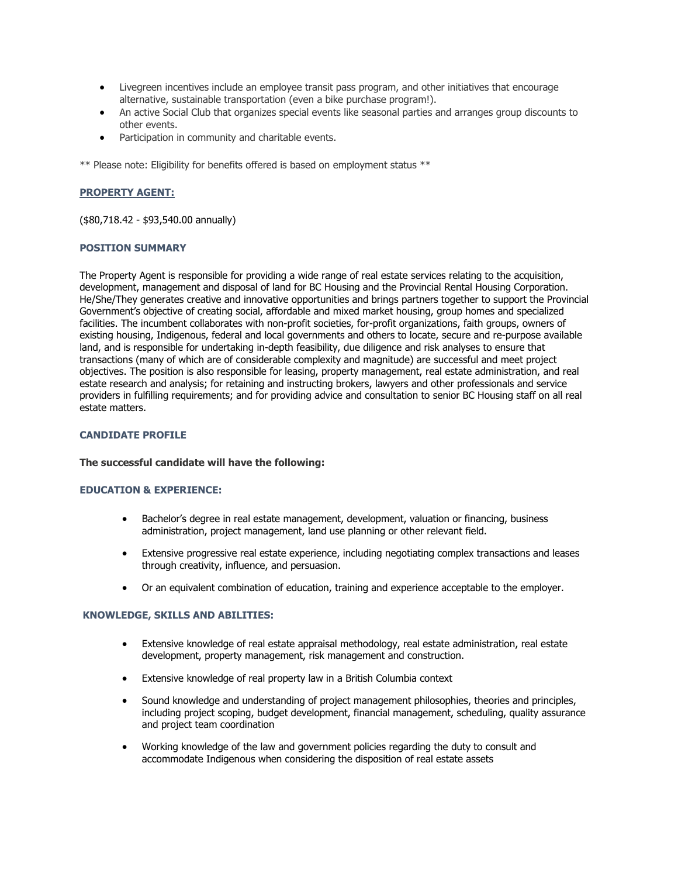- Livegreen incentives include an employee transit pass program, and other initiatives that encourage alternative, sustainable transportation (even a bike purchase program!).
- An active Social Club that organizes special events like seasonal parties and arranges group discounts to other events.
- Participation in community and charitable events.

\*\* Please note: Eligibility for benefits offered is based on employment status \*\*

# **PROPERTY AGENT:**

(\$80,718.42 - \$93,540.00 annually)

### **POSITION SUMMARY**

The Property Agent is responsible for providing a wide range of real estate services relating to the acquisition, development, management and disposal of land for BC Housing and the Provincial Rental Housing Corporation. He/She/They generates creative and innovative opportunities and brings partners together to support the Provincial Government's objective of creating social, affordable and mixed market housing, group homes and specialized facilities. The incumbent collaborates with non-profit societies, for-profit organizations, faith groups, owners of existing housing, Indigenous, federal and local governments and others to locate, secure and re-purpose available land, and is responsible for undertaking in-depth feasibility, due diligence and risk analyses to ensure that transactions (many of which are of considerable complexity and magnitude) are successful and meet project objectives. The position is also responsible for leasing, property management, real estate administration, and real estate research and analysis; for retaining and instructing brokers, lawyers and other professionals and service providers in fulfilling requirements; and for providing advice and consultation to senior BC Housing staff on all real estate matters.

## **CANDIDATE PROFILE**

### **The successful candidate will have the following:**

## **EDUCATION & EXPERIENCE:**

- Bachelor's degree in real estate management, development, valuation or financing, business administration, project management, land use planning or other relevant field.
- Extensive progressive real estate experience, including negotiating complex transactions and leases through creativity, influence, and persuasion.
- Or an equivalent combination of education, training and experience acceptable to the employer.

### **KNOWLEDGE, SKILLS AND ABILITIES:**

- Extensive knowledge of real estate appraisal methodology, real estate administration, real estate development, property management, risk management and construction.
- Extensive knowledge of real property law in a British Columbia context
- Sound knowledge and understanding of project management philosophies, theories and principles, including project scoping, budget development, financial management, scheduling, quality assurance and project team coordination
- Working knowledge of the law and government policies regarding the duty to consult and accommodate Indigenous when considering the disposition of real estate assets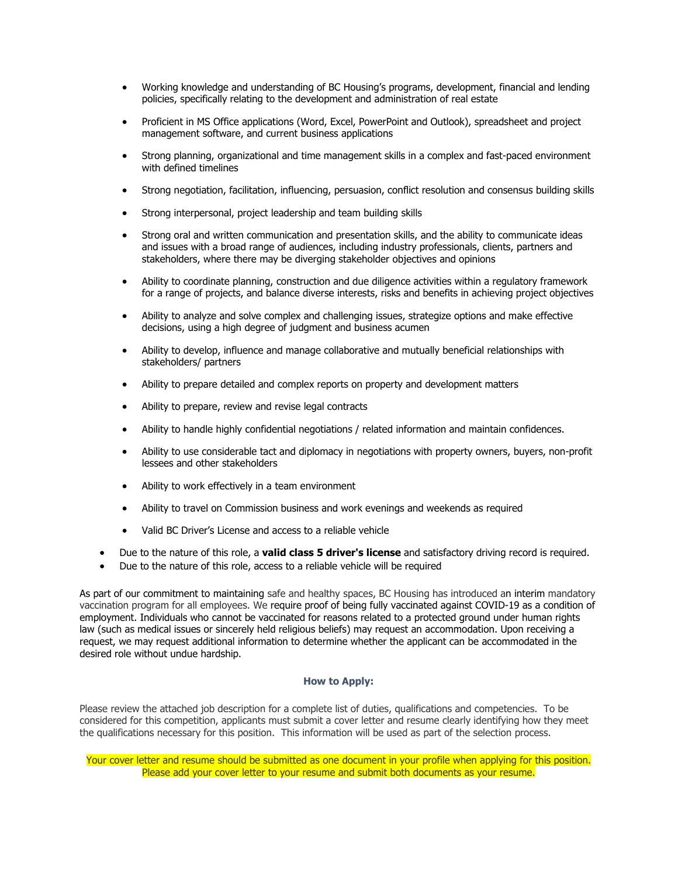- Working knowledge and understanding of BC Housing's programs, development, financial and lending policies, specifically relating to the development and administration of real estate
- Proficient in MS Office applications (Word, Excel, PowerPoint and Outlook), spreadsheet and project management software, and current business applications
- Strong planning, organizational and time management skills in a complex and fast-paced environment with defined timelines
- Strong negotiation, facilitation, influencing, persuasion, conflict resolution and consensus building skills
- Strong interpersonal, project leadership and team building skills
- Strong oral and written communication and presentation skills, and the ability to communicate ideas and issues with a broad range of audiences, including industry professionals, clients, partners and stakeholders, where there may be diverging stakeholder objectives and opinions
- Ability to coordinate planning, construction and due diligence activities within a regulatory framework for a range of projects, and balance diverse interests, risks and benefits in achieving project objectives
- Ability to analyze and solve complex and challenging issues, strategize options and make effective decisions, using a high degree of judgment and business acumen
- Ability to develop, influence and manage collaborative and mutually beneficial relationships with stakeholders/ partners
- Ability to prepare detailed and complex reports on property and development matters
- Ability to prepare, review and revise legal contracts
- Ability to handle highly confidential negotiations / related information and maintain confidences.
- Ability to use considerable tact and diplomacy in negotiations with property owners, buyers, non-profit lessees and other stakeholders
- Ability to work effectively in a team environment
- Ability to travel on Commission business and work evenings and weekends as required
- Valid BC Driver's License and access to a reliable vehicle
- Due to the nature of this role, a **valid class 5 driver's license** and satisfactory driving record is required.
- Due to the nature of this role, access to a reliable vehicle will be required

As part of our commitment to maintaining safe and healthy spaces, BC Housing has introduced an interim mandatory vaccination program for all employees. We require proof of being fully vaccinated against COVID-19 as a condition of employment. Individuals who cannot be vaccinated for reasons related to a protected ground under human rights law (such as medical issues or sincerely held religious beliefs) may request an accommodation. Upon receiving a request, we may request additional information to determine whether the applicant can be accommodated in the desired role without undue hardship.

#### **How to Apply:**

Please review the attached job description for a complete list of duties, qualifications and competencies. To be considered for this competition, applicants must submit a cover letter and resume clearly identifying how they meet the qualifications necessary for this position. This information will be used as part of the selection process.

Your cover letter and resume should be submitted as one document in your profile when applying for this position. Please add your cover letter to your resume and submit both documents as your resume.